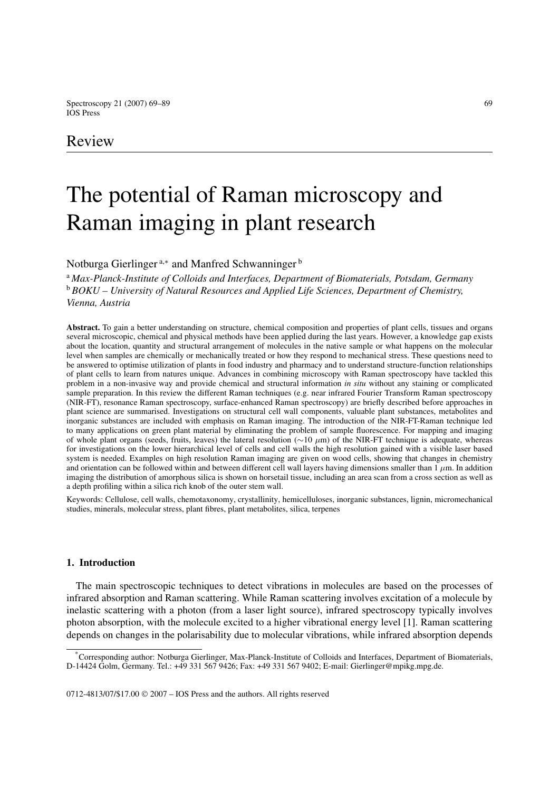# Review

# The potential of Raman microscopy and Raman imaging in plant research

Notburga Gierlinger<sup>a,∗</sup> and Manfred Schwanninger<sup>b</sup>

<sup>a</sup> *Max-Planck-Institute of Colloids and Interfaces, Department of Biomaterials, Potsdam, Germany* <sup>b</sup> *BOKU – University of Natural Resources and Applied Life Sciences, Department of Chemistry, Vienna, Austria*

**Abstract.** To gain a better understanding on structure, chemical composition and properties of plant cells, tissues and organs several microscopic, chemical and physical methods have been applied during the last years. However, a knowledge gap exists about the location, quantity and structural arrangement of molecules in the native sample or what happens on the molecular level when samples are chemically or mechanically treated or how they respond to mechanical stress. These questions need to be answered to optimise utilization of plants in food industry and pharmacy and to understand structure-function relationships of plant cells to learn from natures unique. Advances in combining microscopy with Raman spectroscopy have tackled this problem in a non-invasive way and provide chemical and structural information *in situ* without any staining or complicated sample preparation. In this review the different Raman techniques (e.g. near infrared Fourier Transform Raman spectroscopy (NIR-FT), resonance Raman spectroscopy, surface-enhanced Raman spectroscopy) are briefly described before approaches in plant science are summarised. Investigations on structural cell wall components, valuable plant substances, metabolites and inorganic substances are included with emphasis on Raman imaging. The introduction of the NIR-FT-Raman technique led to many applications on green plant material by eliminating the problem of sample fluorescence. For mapping and imaging of whole plant organs (seeds, fruits, leaves) the lateral resolution (∼10 µm) of the NIR-FT technique is adequate, whereas for investigations on the lower hierarchical level of cells and cell walls the high resolution gained with a visible laser based system is needed. Examples on high resolution Raman imaging are given on wood cells, showing that changes in chemistry and orientation can be followed within and between different cell wall layers having dimensions smaller than  $1 \mu m$ . In addition imaging the distribution of amorphous silica is shown on horsetail tissue, including an area scan from a cross section as well as a depth profiling within a silica rich knob of the outer stem wall.

Keywords: Cellulose, cell walls, chemotaxonomy, crystallinity, hemicelluloses, inorganic substances, lignin, micromechanical studies, minerals, molecular stress, plant fibres, plant metabolites, silica, terpenes

# **1. Introduction**

The main spectroscopic techniques to detect vibrations in molecules are based on the processes of infrared absorption and Raman scattering. While Raman scattering involves excitation of a molecule by inelastic scattering with a photon (from a laser light source), infrared spectroscopy typically involves photon absorption, with the molecule excited to a higher vibrational energy level [1]. Raman scattering depends on changes in the polarisability due to molecular vibrations, while infrared absorption depends

 $0712-4813/07/$17.00 \odot 2007 - LOS Press and the authors. All rights reserved$ 

<sup>\*</sup>Corresponding author: Notburga Gierlinger, Max-Planck-Institute of Colloids and Interfaces, Department of Biomaterials, D-14424 Golm, Germany. Tel.: +49 331 567 9426; Fax: +49 331 567 9402; E-mail: Gierlinger@mpikg.mpg.de.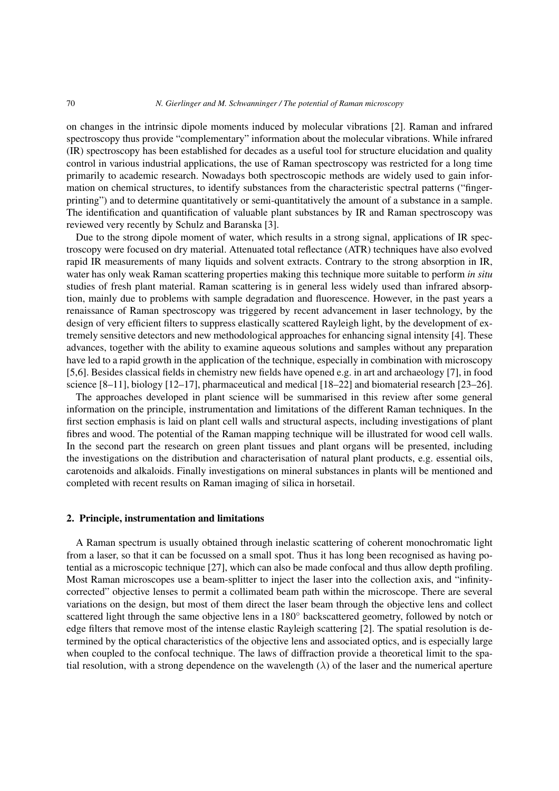on changes in the intrinsic dipole moments induced by molecular vibrations [2]. Raman and infrared spectroscopy thus provide "complementary" information about the molecular vibrations. While infrared (IR) spectroscopy has been established for decades as a useful tool for structure elucidation and quality control in various industrial applications, the use of Raman spectroscopy was restricted for a long time primarily to academic research. Nowadays both spectroscopic methods are widely used to gain information on chemical structures, to identify substances from the characteristic spectral patterns ("fingerprinting") and to determine quantitatively or semi-quantitatively the amount of a substance in a sample. The identification and quantification of valuable plant substances by IR and Raman spectroscopy was reviewed very recently by Schulz and Baranska [3].

Due to the strong dipole moment of water, which results in a strong signal, applications of IR spectroscopy were focused on dry material. Attenuated total reflectance (ATR) techniques have also evolved rapid IR measurements of many liquids and solvent extracts. Contrary to the strong absorption in IR, water has only weak Raman scattering properties making this technique more suitable to perform *in situ* studies of fresh plant material. Raman scattering is in general less widely used than infrared absorption, mainly due to problems with sample degradation and fluorescence. However, in the past years a renaissance of Raman spectroscopy was triggered by recent advancement in laser technology, by the design of very efficient filters to suppress elastically scattered Rayleigh light, by the development of extremely sensitive detectors and new methodological approaches for enhancing signal intensity [4]. These advances, together with the ability to examine aqueous solutions and samples without any preparation have led to a rapid growth in the application of the technique, especially in combination with microscopy [5,6]. Besides classical fields in chemistry new fields have opened e.g. in art and archaeology [7], in food science [8–11], biology [12–17], pharmaceutical and medical [18–22] and biomaterial research [23–26].

The approaches developed in plant science will be summarised in this review after some general information on the principle, instrumentation and limitations of the different Raman techniques. In the first section emphasis is laid on plant cell walls and structural aspects, including investigations of plant fibres and wood. The potential of the Raman mapping technique will be illustrated for wood cell walls. In the second part the research on green plant tissues and plant organs will be presented, including the investigations on the distribution and characterisation of natural plant products, e.g. essential oils, carotenoids and alkaloids. Finally investigations on mineral substances in plants will be mentioned and completed with recent results on Raman imaging of silica in horsetail.

# **2. Principle, instrumentation and limitations**

A Raman spectrum is usually obtained through inelastic scattering of coherent monochromatic light from a laser, so that it can be focussed on a small spot. Thus it has long been recognised as having potential as a microscopic technique [27], which can also be made confocal and thus allow depth profiling. Most Raman microscopes use a beam-splitter to inject the laser into the collection axis, and "infinitycorrected" objective lenses to permit a collimated beam path within the microscope. There are several variations on the design, but most of them direct the laser beam through the objective lens and collect scattered light through the same objective lens in a 180 $\degree$  backscattered geometry, followed by notch or edge filters that remove most of the intense elastic Rayleigh scattering [2]. The spatial resolution is determined by the optical characteristics of the objective lens and associated optics, and is especially large when coupled to the confocal technique. The laws of diffraction provide a theoretical limit to the spatial resolution, with a strong dependence on the wavelength  $(\lambda)$  of the laser and the numerical aperture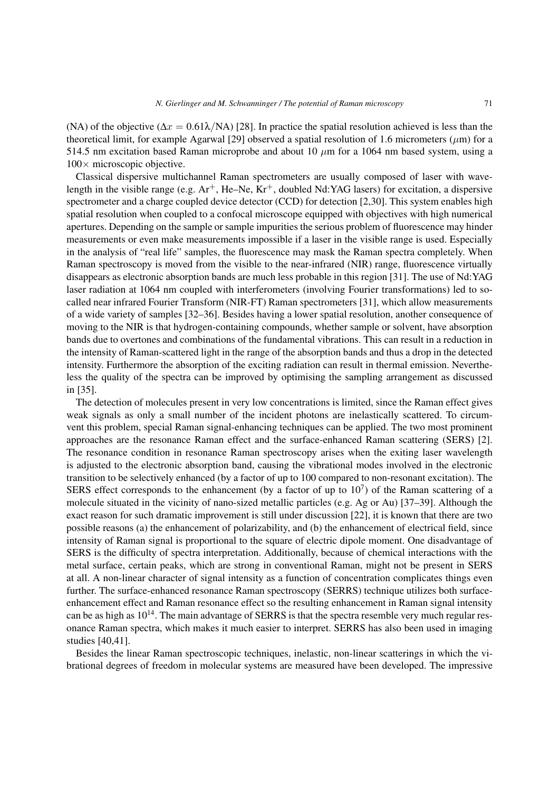(NA) of the objective ( $\Delta x = 0.61\lambda/NA$ ) [28]. In practice the spatial resolution achieved is less than the theoretical limit, for example Agarwal [29] observed a spatial resolution of 1.6 micrometers ( $\mu$ m) for a 514.5 nm excitation based Raman microprobe and about 10  $\mu$ m for a 1064 nm based system, using a  $100\times$  microscopic objective.

Classical dispersive multichannel Raman spectrometers are usually composed of laser with wavelength in the visible range (e.g.  $Ar^+$ , He–Ne,  $Kr^+$ , doubled Nd:YAG lasers) for excitation, a dispersive spectrometer and a charge coupled device detector (CCD) for detection [2,30]. This system enables high spatial resolution when coupled to a confocal microscope equipped with objectives with high numerical apertures. Depending on the sample or sample impurities the serious problem of fluorescence may hinder measurements or even make measurements impossible if a laser in the visible range is used. Especially in the analysis of "real life" samples, the fluorescence may mask the Raman spectra completely. When Raman spectroscopy is moved from the visible to the near-infrared (NIR) range, fluorescence virtually disappears as electronic absorption bands are much less probable in this region [31]. The use of Nd:YAG laser radiation at 1064 nm coupled with interferometers (involving Fourier transformations) led to socalled near infrared Fourier Transform (NIR-FT) Raman spectrometers [31], which allow measurements of a wide variety of samples [32–36]. Besides having a lower spatial resolution, another consequence of moving to the NIR is that hydrogen-containing compounds, whether sample or solvent, have absorption bands due to overtones and combinations of the fundamental vibrations. This can result in a reduction in the intensity of Raman-scattered light in the range of the absorption bands and thus a drop in the detected intensity. Furthermore the absorption of the exciting radiation can result in thermal emission. Nevertheless the quality of the spectra can be improved by optimising the sampling arrangement as discussed in [35].

The detection of molecules present in very low concentrations is limited, since the Raman effect gives weak signals as only a small number of the incident photons are inelastically scattered. To circumvent this problem, special Raman signal-enhancing techniques can be applied. The two most prominent approaches are the resonance Raman effect and the surface-enhanced Raman scattering (SERS) [2]. The resonance condition in resonance Raman spectroscopy arises when the exiting laser wavelength is adjusted to the electronic absorption band, causing the vibrational modes involved in the electronic transition to be selectively enhanced (by a factor of up to 100 compared to non-resonant excitation). The SERS effect corresponds to the enhancement (by a factor of up to  $10<sup>7</sup>$ ) of the Raman scattering of a molecule situated in the vicinity of nano-sized metallic particles (e.g. Ag or Au) [37–39]. Although the exact reason for such dramatic improvement is still under discussion [22], it is known that there are two possible reasons (a) the enhancement of polarizability, and (b) the enhancement of electrical field, since intensity of Raman signal is proportional to the square of electric dipole moment. One disadvantage of SERS is the difficulty of spectra interpretation. Additionally, because of chemical interactions with the metal surface, certain peaks, which are strong in conventional Raman, might not be present in SERS at all. A non-linear character of signal intensity as a function of concentration complicates things even further. The surface-enhanced resonance Raman spectroscopy (SERRS) technique utilizes both surfaceenhancement effect and Raman resonance effect so the resulting enhancement in Raman signal intensity can be as high as  $10^{14}$ . The main advantage of SERRS is that the spectra resemble very much regular resonance Raman spectra, which makes it much easier to interpret. SERRS has also been used in imaging studies [40,41].

Besides the linear Raman spectroscopic techniques, inelastic, non-linear scatterings in which the vibrational degrees of freedom in molecular systems are measured have been developed. The impressive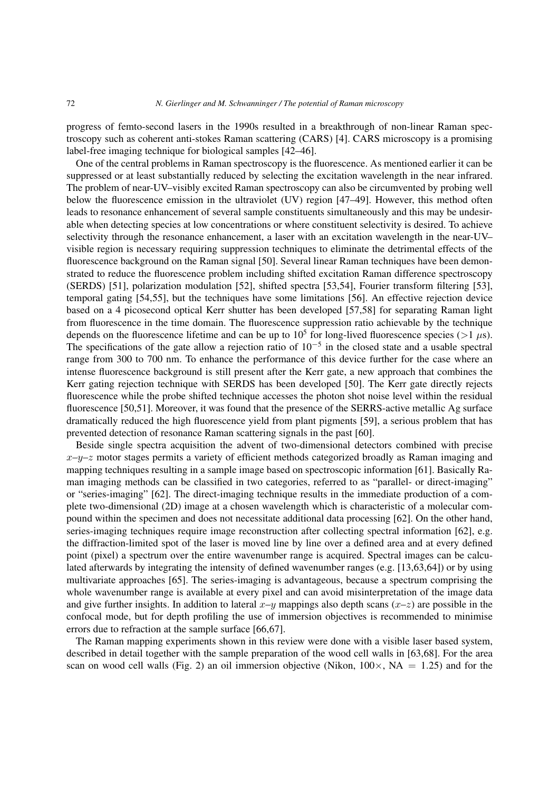progress of femto-second lasers in the 1990s resulted in a breakthrough of non-linear Raman spectroscopy such as coherent anti-stokes Raman scattering (CARS) [4]. CARS microscopy is a promising label-free imaging technique for biological samples [42–46].

One of the central problems in Raman spectroscopy is the fluorescence. As mentioned earlier it can be suppressed or at least substantially reduced by selecting the excitation wavelength in the near infrared. The problem of near-UV–visibly excited Raman spectroscopy can also be circumvented by probing well below the fluorescence emission in the ultraviolet (UV) region [47–49]. However, this method often leads to resonance enhancement of several sample constituents simultaneously and this may be undesirable when detecting species at low concentrations or where constituent selectivity is desired. To achieve selectivity through the resonance enhancement, a laser with an excitation wavelength in the near-UV– visible region is necessary requiring suppression techniques to eliminate the detrimental effects of the fluorescence background on the Raman signal [50]. Several linear Raman techniques have been demonstrated to reduce the fluorescence problem including shifted excitation Raman difference spectroscopy (SERDS) [51], polarization modulation [52], shifted spectra [53,54], Fourier transform filtering [53], temporal gating [54,55], but the techniques have some limitations [56]. An effective rejection device based on a 4 picosecond optical Kerr shutter has been developed [57,58] for separating Raman light from fluorescence in the time domain. The fluorescence suppression ratio achievable by the technique depends on the fluorescence lifetime and can be up to  $10^5$  for long-lived fluorescence species (>1  $\mu$ s). The specifications of the gate allow a rejection ratio of  $10^{-5}$  in the closed state and a usable spectral range from 300 to 700 nm. To enhance the performance of this device further for the case where an intense fluorescence background is still present after the Kerr gate, a new approach that combines the Kerr gating rejection technique with SERDS has been developed [50]. The Kerr gate directly rejects fluorescence while the probe shifted technique accesses the photon shot noise level within the residual fluorescence [50,51]. Moreover, it was found that the presence of the SERRS-active metallic Ag surface dramatically reduced the high fluorescence yield from plant pigments [59], a serious problem that has prevented detection of resonance Raman scattering signals in the past [60].

Beside single spectra acquisition the advent of two-dimensional detectors combined with precise  $x-y-z$  motor stages permits a variety of efficient methods categorized broadly as Raman imaging and mapping techniques resulting in a sample image based on spectroscopic information [61]. Basically Raman imaging methods can be classified in two categories, referred to as "parallel- or direct-imaging" or "series-imaging" [62]. The direct-imaging technique results in the immediate production of a complete two-dimensional (2D) image at a chosen wavelength which is characteristic of a molecular compound within the specimen and does not necessitate additional data processing [62]. On the other hand, series-imaging techniques require image reconstruction after collecting spectral information [62], e.g. the diffraction-limited spot of the laser is moved line by line over a defined area and at every defined point (pixel) a spectrum over the entire wavenumber range is acquired. Spectral images can be calculated afterwards by integrating the intensity of defined wavenumber ranges (e.g. [13,63,64]) or by using multivariate approaches [65]. The series-imaging is advantageous, because a spectrum comprising the whole wavenumber range is available at every pixel and can avoid misinterpretation of the image data and give further insights. In addition to lateral  $x-y$  mappings also depth scans  $(x-z)$  are possible in the confocal mode, but for depth profiling the use of immersion objectives is recommended to minimise errors due to refraction at the sample surface [66,67].

The Raman mapping experiments shown in this review were done with a visible laser based system, described in detail together with the sample preparation of the wood cell walls in [63,68]. For the area scan on wood cell walls (Fig. 2) an oil immersion objective (Nikon,  $100 \times$ , NA = 1.25) and for the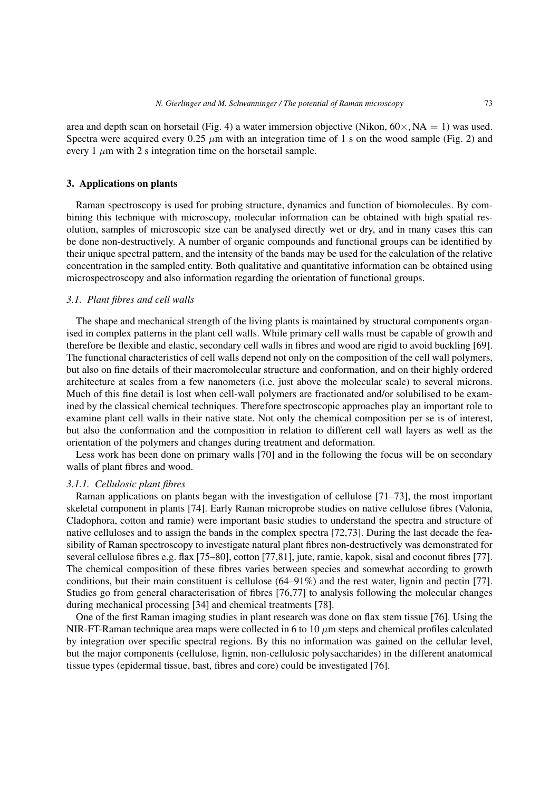area and depth scan on horsetail (Fig. 4) a water immersion objective (Nikon,  $60 \times$ , NA = 1) was used. Spectra were acquired every 0.25  $\mu$ m with an integration time of 1 s on the wood sample (Fig. 2) and every 1  $\mu$ m with 2 s integration time on the horsetail sample.

# **3. Applications on plants**

Raman spectroscopy is used for probing structure, dynamics and function of biomolecules. By combining this technique with microscopy, molecular information can be obtained with high spatial resolution, samples of microscopic size can be analysed directly wet or dry, and in many cases this can be done non-destructively. A number of organic compounds and functional groups can be identified by their unique spectral pattern, and the intensity of the bands may be used for the calculation of the relative concentration in the sampled entity. Both qualitative and quantitative information can be obtained using microspectroscopy and also information regarding the orientation of functional groups.

## *3.1. Plant fibres and cell walls*

The shape and mechanical strength of the living plants is maintained by structural components organised in complex patterns in the plant cell walls. While primary cell walls must be capable of growth and therefore be flexible and elastic, secondary cell walls in fibres and wood are rigid to avoid buckling [69]. The functional characteristics of cell walls depend not only on the composition of the cell wall polymers, but also on fine details of their macromolecular structure and conformation, and on their highly ordered architecture at scales from a few nanometers (i.e. just above the molecular scale) to several microns. Much of this fine detail is lost when cell-wall polymers are fractionated and/or solubilised to be examined by the classical chemical techniques. Therefore spectroscopic approaches play an important role to examine plant cell walls in their native state. Not only the chemical composition per se is of interest, but also the conformation and the composition in relation to different cell wall layers as well as the orientation of the polymers and changes during treatment and deformation.

Less work has been done on primary walls [70] and in the following the focus will be on secondary walls of plant fibres and wood.

#### *3.1.1. Cellulosic plant fibres*

Raman applications on plants began with the investigation of cellulose [71–73], the most important skeletal component in plants [74]. Early Raman microprobe studies on native cellulose fibres (Valonia, Cladophora, cotton and ramie) were important basic studies to understand the spectra and structure of native celluloses and to assign the bands in the complex spectra [72,73]. During the last decade the feasibility of Raman spectroscopy to investigate natural plant fibres non-destructively was demonstrated for several cellulose fibres e.g. flax [75–80], cotton [77,81], jute, ramie, kapok, sisal and coconut fibres [77]. The chemical composition of these fibres varies between species and somewhat according to growth conditions, but their main constituent is cellulose (64–91%) and the rest water, lignin and pectin [77]. Studies go from general characterisation of fibres [76,77] to analysis following the molecular changes during mechanical processing [34] and chemical treatments [78].

One of the first Raman imaging studies in plant research was done on flax stem tissue [76]. Using the NIR-FT-Raman technique area maps were collected in 6 to 10  $\mu$ m steps and chemical profiles calculated by integration over specific spectral regions. By this no information was gained on the cellular level, but the major components (cellulose, lignin, non-cellulosic polysaccharides) in the different anatomical tissue types (epidermal tissue, bast, fibres and core) could be investigated [76].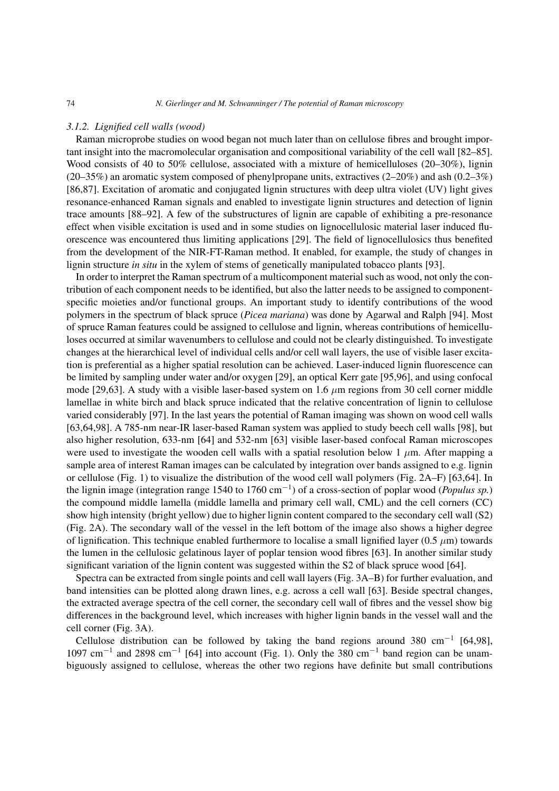#### *3.1.2. Lignified cell walls (wood)*

Raman microprobe studies on wood began not much later than on cellulose fibres and brought important insight into the macromolecular organisation and compositional variability of the cell wall [82–85]. Wood consists of 40 to 50% cellulose, associated with a mixture of hemicelluloses (20–30%), lignin  $(20-35\%)$  an aromatic system composed of phenylpropane units, extractives  $(2-20\%)$  and ash  $(0.2-3\%)$ [86,87]. Excitation of aromatic and conjugated lignin structures with deep ultra violet (UV) light gives resonance-enhanced Raman signals and enabled to investigate lignin structures and detection of lignin trace amounts [88–92]. A few of the substructures of lignin are capable of exhibiting a pre-resonance effect when visible excitation is used and in some studies on lignocellulosic material laser induced fluorescence was encountered thus limiting applications [29]. The field of lignocellulosics thus benefited from the development of the NIR-FT-Raman method. It enabled, for example, the study of changes in lignin structure *in situ* in the xylem of stems of genetically manipulated tobacco plants [93].

In order to interpret the Raman spectrum of a multicomponent material such as wood, not only the contribution of each component needs to be identified, but also the latter needs to be assigned to componentspecific moieties and/or functional groups. An important study to identify contributions of the wood polymers in the spectrum of black spruce (*Picea mariana*) was done by Agarwal and Ralph [94]. Most of spruce Raman features could be assigned to cellulose and lignin, whereas contributions of hemicelluloses occurred at similar wavenumbers to cellulose and could not be clearly distinguished. To investigate changes at the hierarchical level of individual cells and/or cell wall layers, the use of visible laser excitation is preferential as a higher spatial resolution can be achieved. Laser-induced lignin fluorescence can be limited by sampling under water and/or oxygen [29], an optical Kerr gate [95,96], and using confocal mode [29,63]. A study with a visible laser-based system on 1.6  $\mu$ m regions from 30 cell corner middle lamellae in white birch and black spruce indicated that the relative concentration of lignin to cellulose varied considerably [97]. In the last years the potential of Raman imaging was shown on wood cell walls [63,64,98]. A 785-nm near-IR laser-based Raman system was applied to study beech cell walls [98], but also higher resolution, 633-nm [64] and 532-nm [63] visible laser-based confocal Raman microscopes were used to investigate the wooden cell walls with a spatial resolution below 1  $\mu$ m. After mapping a sample area of interest Raman images can be calculated by integration over bands assigned to e.g. lignin or cellulose (Fig. 1) to visualize the distribution of the wood cell wall polymers (Fig. 2A–F) [63,64]. In the lignin image (integration range 1540 to 1760 cm−1) of a cross-section of poplar wood (*Populus sp.*) the compound middle lamella (middle lamella and primary cell wall, CML) and the cell corners (CC) show high intensity (bright yellow) due to higher lignin content compared to the secondary cell wall (S2) (Fig. 2A). The secondary wall of the vessel in the left bottom of the image also shows a higher degree of lignification. This technique enabled furthermore to localise a small lignified layer (0.5  $\mu$ m) towards the lumen in the cellulosic gelatinous layer of poplar tension wood fibres [63]. In another similar study significant variation of the lignin content was suggested within the S2 of black spruce wood [64].

Spectra can be extracted from single points and cell wall layers (Fig. 3A–B) for further evaluation, and band intensities can be plotted along drawn lines, e.g. across a cell wall [63]. Beside spectral changes, the extracted average spectra of the cell corner, the secondary cell wall of fibres and the vessel show big differences in the background level, which increases with higher lignin bands in the vessel wall and the cell corner (Fig. 3A).

Cellulose distribution can be followed by taking the band regions around 380 cm<sup>-1</sup> [64,98],  $1097$  cm<sup>-1</sup> and 2898 cm<sup>-1</sup> [64] into account (Fig. 1). Only the 380 cm<sup>-1</sup> band region can be unambiguously assigned to cellulose, whereas the other two regions have definite but small contributions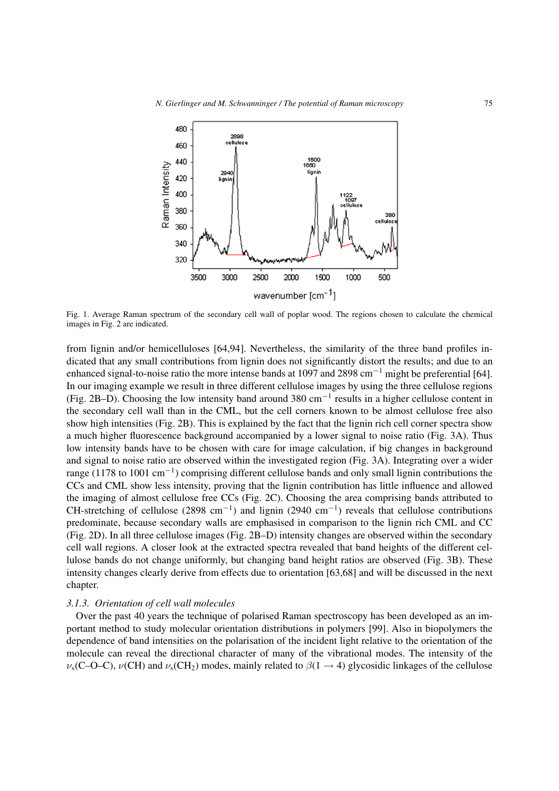

Fig. 1. Average Raman spectrum of the secondary cell wall of poplar wood. The regions chosen to calculate the chemical images in Fig. 2 are indicated.

from lignin and/or hemicelluloses [64,94]. Nevertheless, the similarity of the three band profiles indicated that any small contributions from lignin does not significantly distort the results; and due to an enhanced signal-to-noise ratio the more intense bands at 1097 and 2898 cm<sup>-1</sup> might be preferential [64]. In our imaging example we result in three different cellulose images by using the three cellulose regions (Fig. 2B–D). Choosing the low intensity band around 380 cm−<sup>1</sup> results in a higher cellulose content in the secondary cell wall than in the CML, but the cell corners known to be almost cellulose free also show high intensities (Fig. 2B). This is explained by the fact that the lignin rich cell corner spectra show a much higher fluorescence background accompanied by a lower signal to noise ratio (Fig. 3A). Thus low intensity bands have to be chosen with care for image calculation, if big changes in background and signal to noise ratio are observed within the investigated region (Fig. 3A). Integrating over a wider range (1178 to 1001 cm−1) comprising different cellulose bands and only small lignin contributions the CCs and CML show less intensity, proving that the lignin contribution has little influence and allowed the imaging of almost cellulose free CCs (Fig. 2C). Choosing the area comprising bands attributed to CH-stretching of cellulose (2898 cm<sup>-1</sup>) and lignin (2940 cm<sup>-1</sup>) reveals that cellulose contributions predominate, because secondary walls are emphasised in comparison to the lignin rich CML and CC (Fig. 2D). In all three cellulose images (Fig. 2B–D) intensity changes are observed within the secondary cell wall regions. A closer look at the extracted spectra revealed that band heights of the different cellulose bands do not change uniformly, but changing band height ratios are observed (Fig. 3B). These intensity changes clearly derive from effects due to orientation [63,68] and will be discussed in the next chapter.

# *3.1.3. Orientation of cell wall molecules*

Over the past 40 years the technique of polarised Raman spectroscopy has been developed as an important method to study molecular orientation distributions in polymers [99]. Also in biopolymers the dependence of band intensities on the polarisation of the incident light relative to the orientation of the molecule can reveal the directional character of many of the vibrational modes. The intensity of the  $\nu_s(C-O-C)$ ,  $\nu(CH)$  and  $\nu_s(CH_2)$  modes, mainly related to  $\beta(1 \rightarrow 4)$  glycosidic linkages of the cellulose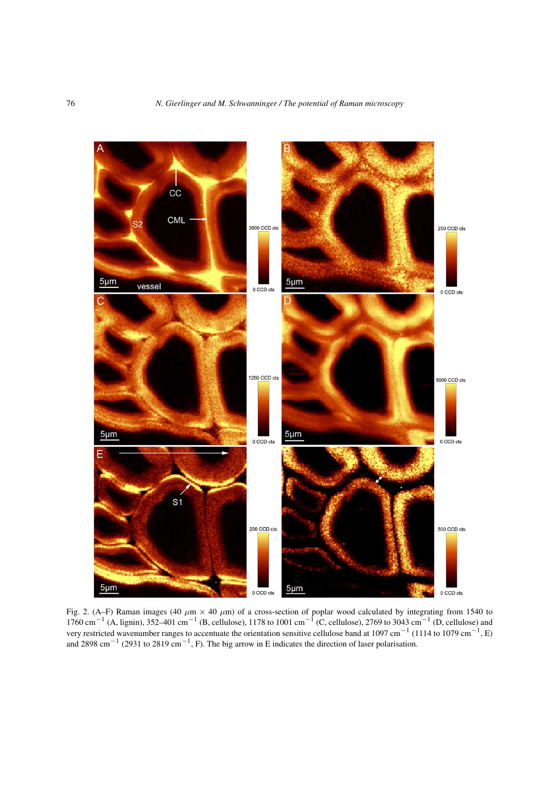

Fig. 2. (A–F) Raman images (40  $\mu$ m  $\times$  40  $\mu$ m) of a cross-section of poplar wood calculated by integrating from 1540 to  $1760 \text{ cm}^{-1}$  (A, lignin), 352–401 cm<sup>-1</sup> (B, cellulose), 1178 to 1001 cm<sup>-1</sup> (C, cellulose), 2769 to 3043 cm<sup>-1</sup> (D, cellulose) and very restricted wavenumber ranges to accentuate the orientation sensitive cellulose band at 1097 cm<sup>-1</sup> (1114 to 1079 cm<sup>-1</sup>, E) and 2898 cm<sup>-1</sup> (2931 to 2819 cm<sup>-1</sup>, F). The big arrow in E indicates the direction of laser polarisation.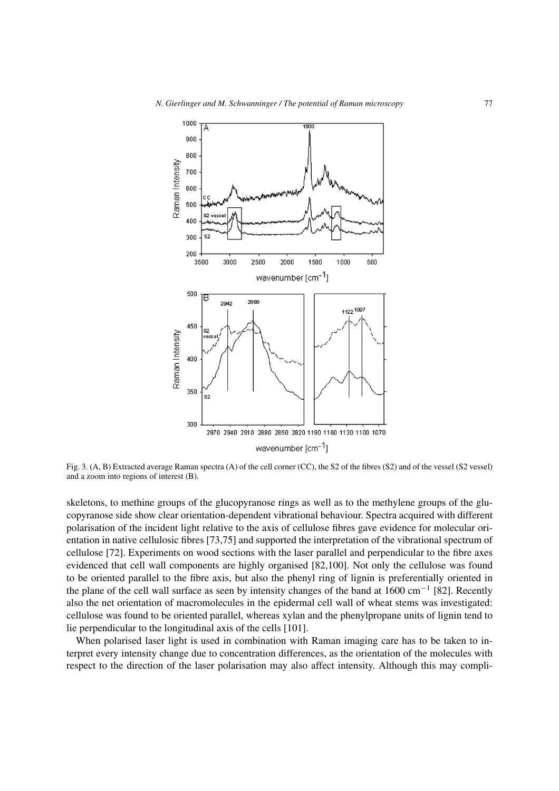

Fig. 3. (A, B) Extracted average Raman spectra (A) of the cell corner (CC), the S2 of the fibres (S2) and of the vessel (S2 vessel) and a zoom into regions of interest (B).

skeletons, to methine groups of the glucopyranose rings as well as to the methylene groups of the glucopyranose side show clear orientation-dependent vibrational behaviour. Spectra acquired with different polarisation of the incident light relative to the axis of cellulose fibres gave evidence for molecular orientation in native cellulosic fibres [73,75] and supported the interpretation of the vibrational spectrum of cellulose [72]. Experiments on wood sections with the laser parallel and perpendicular to the fibre axes evidenced that cell wall components are highly organised [82,100]. Not only the cellulose was found to be oriented parallel to the fibre axis, but also the phenyl ring of lignin is preferentially oriented in the plane of the cell wall surface as seen by intensity changes of the band at 1600 cm−<sup>1</sup> [82]. Recently also the net orientation of macromolecules in the epidermal cell wall of wheat stems was investigated: cellulose was found to be oriented parallel, whereas xylan and the phenylpropane units of lignin tend to lie perpendicular to the longitudinal axis of the cells [101].

When polarised laser light is used in combination with Raman imaging care has to be taken to interpret every intensity change due to concentration differences, as the orientation of the molecules with respect to the direction of the laser polarisation may also affect intensity. Although this may compli-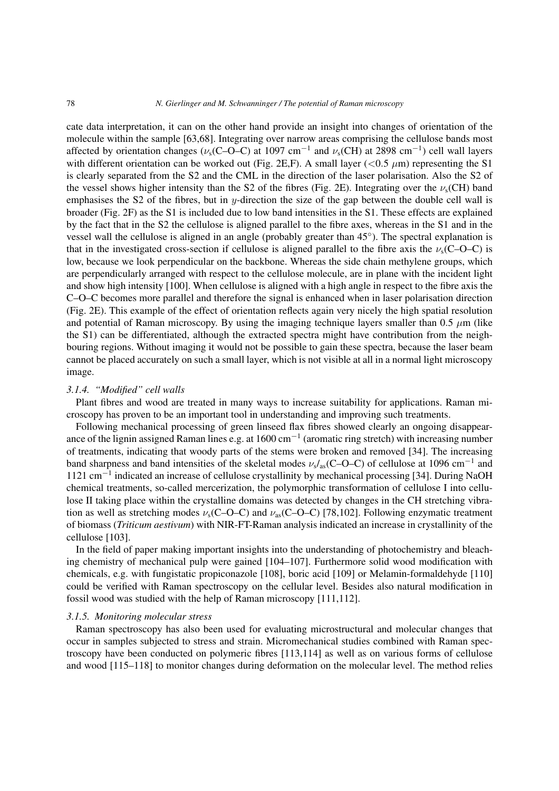#### 78 *N. Gierlinger and M. Schwanninger / The potential of Raman microscopy*

cate data interpretation, it can on the other hand provide an insight into changes of orientation of the molecule within the sample [63,68]. Integrating over narrow areas comprising the cellulose bands most affected by orientation changes ( $\nu_s$ (C–O–C) at 1097 cm<sup>-1</sup> and  $\nu_s$ (CH) at 2898 cm<sup>-1</sup>) cell wall layers with different orientation can be worked out (Fig. 2E,F). A small layer ( $<$ 0.5  $\mu$ m) representing the S1 is clearly separated from the S2 and the CML in the direction of the laser polarisation. Also the S2 of the vessel shows higher intensity than the S2 of the fibres (Fig. 2E). Integrating over the  $\nu_s$ (CH) band emphasises the S2 of the fibres, but in y-direction the size of the gap between the double cell wall is broader (Fig. 2F) as the S1 is included due to low band intensities in the S1. These effects are explained by the fact that in the S2 the cellulose is aligned parallel to the fibre axes, whereas in the S1 and in the vessel wall the cellulose is aligned in an angle (probably greater than 45◦). The spectral explanation is that in the investigated cross-section if cellulose is aligned parallel to the fibre axis the  $\nu_s(C-O-C)$  is low, because we look perpendicular on the backbone. Whereas the side chain methylene groups, which are perpendicularly arranged with respect to the cellulose molecule, are in plane with the incident light and show high intensity [100]. When cellulose is aligned with a high angle in respect to the fibre axis the C–O–C becomes more parallel and therefore the signal is enhanced when in laser polarisation direction (Fig. 2E). This example of the effect of orientation reflects again very nicely the high spatial resolution and potential of Raman microscopy. By using the imaging technique layers smaller than 0.5  $\mu$ m (like the S1) can be differentiated, although the extracted spectra might have contribution from the neighbouring regions. Without imaging it would not be possible to gain these spectra, because the laser beam cannot be placed accurately on such a small layer, which is not visible at all in a normal light microscopy image.

# *3.1.4. "Modified" cell walls*

Plant fibres and wood are treated in many ways to increase suitability for applications. Raman microscopy has proven to be an important tool in understanding and improving such treatments.

Following mechanical processing of green linseed flax fibres showed clearly an ongoing disappearance of the lignin assigned Raman lines e.g. at 1600 cm−<sup>1</sup> (aromatic ring stretch) with increasing number of treatments, indicating that woody parts of the stems were broken and removed [34]. The increasing band sharpness and band intensities of the skeletal modes  $\nu_s /_{as}(C-O-C)$  of cellulose at 1096 cm<sup>-1</sup> and 1121 cm−<sup>1</sup> indicated an increase of cellulose crystallinity by mechanical processing [34]. During NaOH chemical treatments, so-called mercerization, the polymorphic transformation of cellulose I into cellulose II taking place within the crystalline domains was detected by changes in the CH stretching vibration as well as stretching modes  $\nu_s$ (C–O–C) and  $\nu_{as}$ (C–O–C) [78,102]. Following enzymatic treatment of biomass (*Triticum aestivum*) with NIR-FT-Raman analysis indicated an increase in crystallinity of the cellulose [103].

In the field of paper making important insights into the understanding of photochemistry and bleaching chemistry of mechanical pulp were gained [104–107]. Furthermore solid wood modification with chemicals, e.g. with fungistatic propiconazole [108], boric acid [109] or Melamin-formaldehyde [110] could be verified with Raman spectroscopy on the cellular level. Besides also natural modification in fossil wood was studied with the help of Raman microscopy [111,112].

#### *3.1.5. Monitoring molecular stress*

Raman spectroscopy has also been used for evaluating microstructural and molecular changes that occur in samples subjected to stress and strain. Micromechanical studies combined with Raman spectroscopy have been conducted on polymeric fibres [113,114] as well as on various forms of cellulose and wood [115–118] to monitor changes during deformation on the molecular level. The method relies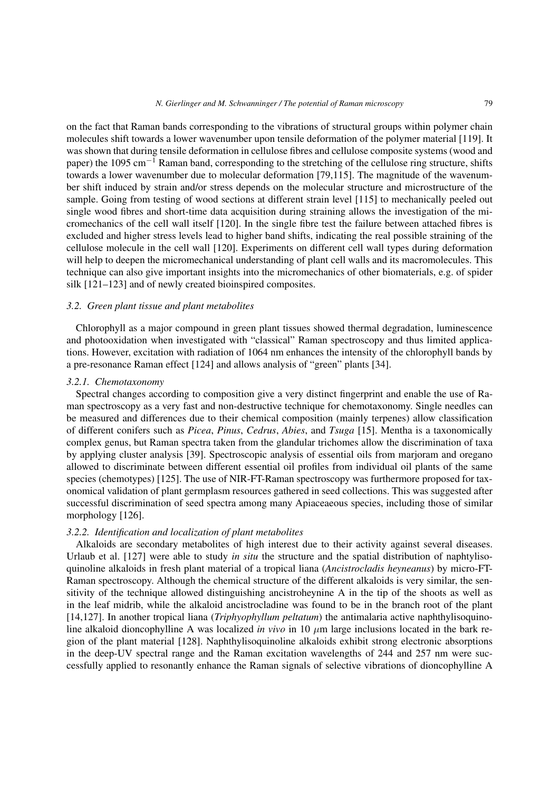on the fact that Raman bands corresponding to the vibrations of structural groups within polymer chain molecules shift towards a lower wavenumber upon tensile deformation of the polymer material [119]. It was shown that during tensile deformation in cellulose fibres and cellulose composite systems (wood and paper) the 1095 cm<sup>-1</sup> Raman band, corresponding to the stretching of the cellulose ring structure, shifts towards a lower wavenumber due to molecular deformation [79,115]. The magnitude of the wavenumber shift induced by strain and/or stress depends on the molecular structure and microstructure of the sample. Going from testing of wood sections at different strain level [115] to mechanically peeled out single wood fibres and short-time data acquisition during straining allows the investigation of the micromechanics of the cell wall itself [120]. In the single fibre test the failure between attached fibres is excluded and higher stress levels lead to higher band shifts, indicating the real possible straining of the cellulose molecule in the cell wall [120]. Experiments on different cell wall types during deformation will help to deepen the micromechanical understanding of plant cell walls and its macromolecules. This technique can also give important insights into the micromechanics of other biomaterials, e.g. of spider silk [121–123] and of newly created bioinspired composites.

# *3.2. Green plant tissue and plant metabolites*

Chlorophyll as a major compound in green plant tissues showed thermal degradation, luminescence and photooxidation when investigated with "classical" Raman spectroscopy and thus limited applications. However, excitation with radiation of 1064 nm enhances the intensity of the chlorophyll bands by a pre-resonance Raman effect [124] and allows analysis of "green" plants [34].

#### *3.2.1. Chemotaxonomy*

Spectral changes according to composition give a very distinct fingerprint and enable the use of Raman spectroscopy as a very fast and non-destructive technique for chemotaxonomy. Single needles can be measured and differences due to their chemical composition (mainly terpenes) allow classification of different conifers such as *Picea*, *Pinus*, *Cedrus*, *Abies*, and *Tsuga* [15]. Mentha is a taxonomically complex genus, but Raman spectra taken from the glandular trichomes allow the discrimination of taxa by applying cluster analysis [39]. Spectroscopic analysis of essential oils from marjoram and oregano allowed to discriminate between different essential oil profiles from individual oil plants of the same species (chemotypes) [125]. The use of NIR-FT-Raman spectroscopy was furthermore proposed for taxonomical validation of plant germplasm resources gathered in seed collections. This was suggested after successful discrimination of seed spectra among many Apiaceaeous species, including those of similar morphology [126].

### *3.2.2. Identification and localization of plant metabolites*

Alkaloids are secondary metabolites of high interest due to their activity against several diseases. Urlaub et al. [127] were able to study *in situ* the structure and the spatial distribution of naphtylisoquinoline alkaloids in fresh plant material of a tropical liana (*Ancistrocladis heyneanus*) by micro-FT-Raman spectroscopy. Although the chemical structure of the different alkaloids is very similar, the sensitivity of the technique allowed distinguishing ancistroheynine A in the tip of the shoots as well as in the leaf midrib, while the alkaloid ancistrocladine was found to be in the branch root of the plant [14,127]. In another tropical liana (*Triphyophyllum peltatum*) the antimalaria active naphthylisoquinoline alkaloid dioncophylline A was localized *in vivo* in 10  $\mu$ m large inclusions located in the bark region of the plant material [128]. Naphthylisoquinoline alkaloids exhibit strong electronic absorptions in the deep-UV spectral range and the Raman excitation wavelengths of 244 and 257 nm were successfully applied to resonantly enhance the Raman signals of selective vibrations of dioncophylline A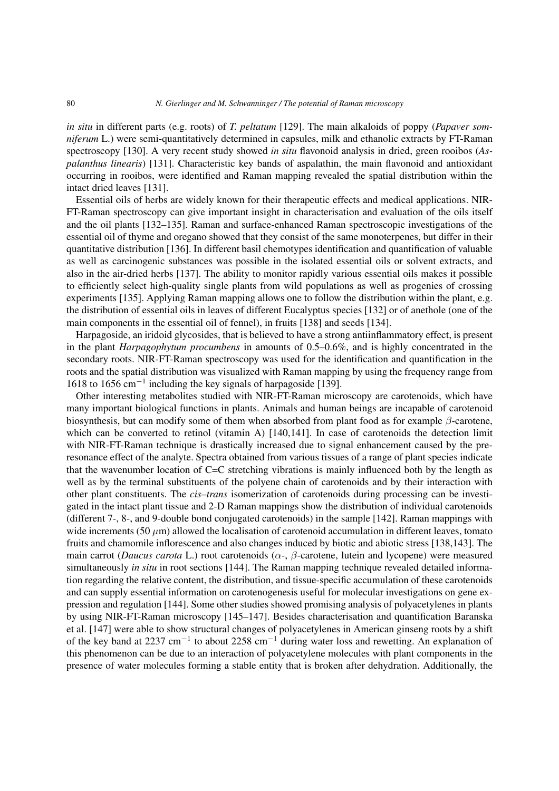*in situ* in different parts (e.g. roots) of *T. peltatum* [129]. The main alkaloids of poppy (*Papaver somniferum* L.) were semi-quantitatively determined in capsules, milk and ethanolic extracts by FT-Raman spectroscopy [130]. A very recent study showed *in situ* flavonoid analysis in dried, green rooibos (*Aspalanthus linearis*) [131]. Characteristic key bands of aspalathin, the main flavonoid and antioxidant occurring in rooibos, were identified and Raman mapping revealed the spatial distribution within the intact dried leaves [131].

Essential oils of herbs are widely known for their therapeutic effects and medical applications. NIR-FT-Raman spectroscopy can give important insight in characterisation and evaluation of the oils itself and the oil plants [132–135]. Raman and surface-enhanced Raman spectroscopic investigations of the essential oil of thyme and oregano showed that they consist of the same monoterpenes, but differ in their quantitative distribution [136]. In different basil chemotypes identification and quantification of valuable as well as carcinogenic substances was possible in the isolated essential oils or solvent extracts, and also in the air-dried herbs [137]. The ability to monitor rapidly various essential oils makes it possible to efficiently select high-quality single plants from wild populations as well as progenies of crossing experiments [135]. Applying Raman mapping allows one to follow the distribution within the plant, e.g. the distribution of essential oils in leaves of different Eucalyptus species [132] or of anethole (one of the main components in the essential oil of fennel), in fruits [138] and seeds [134].

Harpagoside, an iridoid glycosides, that is believed to have a strong antiinflammatory effect, is present in the plant *Harpagophytum procumbens* in amounts of 0.5–0.6%, and is highly concentrated in the secondary roots. NIR-FT-Raman spectroscopy was used for the identification and quantification in the roots and the spatial distribution was visualized with Raman mapping by using the frequency range from 1618 to 1656 cm−<sup>1</sup> including the key signals of harpagoside [139].

Other interesting metabolites studied with NIR-FT-Raman microscopy are carotenoids, which have many important biological functions in plants. Animals and human beings are incapable of carotenoid biosynthesis, but can modify some of them when absorbed from plant food as for example  $\beta$ -carotene, which can be converted to retinol (vitamin A) [140,141]. In case of carotenoids the detection limit with NIR-FT-Raman technique is drastically increased due to signal enhancement caused by the preresonance effect of the analyte. Spectra obtained from various tissues of a range of plant species indicate that the wavenumber location of C=C stretching vibrations is mainly influenced both by the length as well as by the terminal substituents of the polyene chain of carotenoids and by their interaction with other plant constituents. The *cis–trans* isomerization of carotenoids during processing can be investigated in the intact plant tissue and 2-D Raman mappings show the distribution of individual carotenoids (different 7-, 8-, and 9-double bond conjugated carotenoids) in the sample [142]. Raman mappings with wide increments (50  $\mu$ m) allowed the localisation of carotenoid accumulation in different leaves, tomato fruits and chamomile inflorescence and also changes induced by biotic and abiotic stress [138,143]. The main carrot (*Daucus carota* L.) root carotenoids (α-, β-carotene, lutein and lycopene) were measured simultaneously *in situ* in root sections [144]. The Raman mapping technique revealed detailed information regarding the relative content, the distribution, and tissue-specific accumulation of these carotenoids and can supply essential information on carotenogenesis useful for molecular investigations on gene expression and regulation [144]. Some other studies showed promising analysis of polyacetylenes in plants by using NIR-FT-Raman microscopy [145–147]. Besides characterisation and quantification Baranska et al. [147] were able to show structural changes of polyacetylenes in American ginseng roots by a shift of the key band at 2237 cm−<sup>1</sup> to about 2258 cm−<sup>1</sup> during water loss and rewetting. An explanation of this phenomenon can be due to an interaction of polyacetylene molecules with plant components in the presence of water molecules forming a stable entity that is broken after dehydration. Additionally, the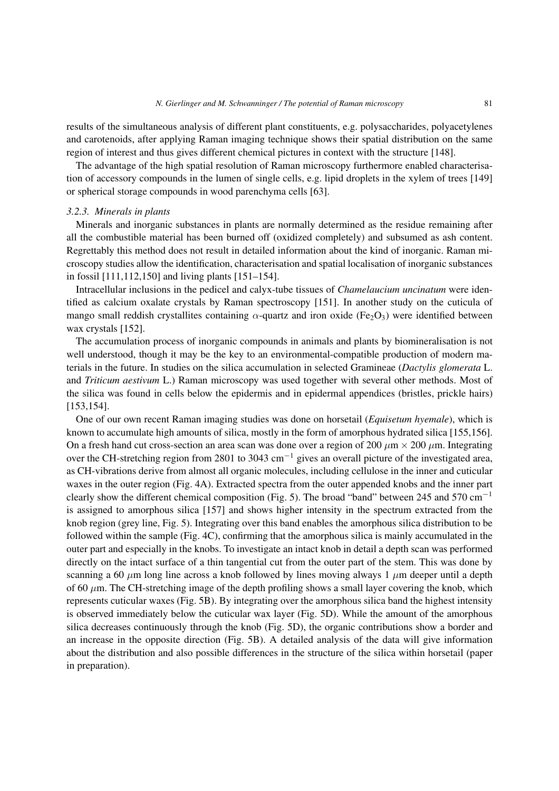results of the simultaneous analysis of different plant constituents, e.g. polysaccharides, polyacetylenes and carotenoids, after applying Raman imaging technique shows their spatial distribution on the same region of interest and thus gives different chemical pictures in context with the structure [148].

The advantage of the high spatial resolution of Raman microscopy furthermore enabled characterisation of accessory compounds in the lumen of single cells, e.g. lipid droplets in the xylem of trees [149] or spherical storage compounds in wood parenchyma cells [63].

# *3.2.3. Minerals in plants*

Minerals and inorganic substances in plants are normally determined as the residue remaining after all the combustible material has been burned off (oxidized completely) and subsumed as ash content. Regrettably this method does not result in detailed information about the kind of inorganic. Raman microscopy studies allow the identification, characterisation and spatial localisation of inorganic substances in fossil [111,112,150] and living plants [151–154].

Intracellular inclusions in the pedicel and calyx-tube tissues of *Chamelaucium uncinatum* were identified as calcium oxalate crystals by Raman spectroscopy [151]. In another study on the cuticula of mango small reddish crystallites containing  $\alpha$ -quartz and iron oxide (Fe<sub>2</sub>O<sub>3</sub>) were identified between wax crystals [152].

The accumulation process of inorganic compounds in animals and plants by biomineralisation is not well understood, though it may be the key to an environmental-compatible production of modern materials in the future. In studies on the silica accumulation in selected Gramineae (*Dactylis glomerata* L. and *Triticum aestivum* L.) Raman microscopy was used together with several other methods. Most of the silica was found in cells below the epidermis and in epidermal appendices (bristles, prickle hairs) [153,154].

One of our own recent Raman imaging studies was done on horsetail (*Equisetum hyemale*), which is known to accumulate high amounts of silica, mostly in the form of amorphous hydrated silica [155,156]. On a fresh hand cut cross-section an area scan was done over a region of 200  $\mu$ m  $\times$  200  $\mu$ m. Integrating over the CH-stretching region from 2801 to 3043 cm−<sup>1</sup> gives an overall picture of the investigated area, as CH-vibrations derive from almost all organic molecules, including cellulose in the inner and cuticular waxes in the outer region (Fig. 4A). Extracted spectra from the outer appended knobs and the inner part clearly show the different chemical composition (Fig. 5). The broad "band" between 245 and 570 cm<sup>-1</sup> is assigned to amorphous silica [157] and shows higher intensity in the spectrum extracted from the knob region (grey line, Fig. 5). Integrating over this band enables the amorphous silica distribution to be followed within the sample (Fig. 4C), confirming that the amorphous silica is mainly accumulated in the outer part and especially in the knobs. To investigate an intact knob in detail a depth scan was performed directly on the intact surface of a thin tangential cut from the outer part of the stem. This was done by scanning a 60  $\mu$ m long line across a knob followed by lines moving always 1  $\mu$ m deeper until a depth of 60  $\mu$ m. The CH-stretching image of the depth profiling shows a small layer covering the knob, which represents cuticular waxes (Fig. 5B). By integrating over the amorphous silica band the highest intensity is observed immediately below the cuticular wax layer (Fig. 5D). While the amount of the amorphous silica decreases continuously through the knob (Fig. 5D), the organic contributions show a border and an increase in the opposite direction (Fig. 5B). A detailed analysis of the data will give information about the distribution and also possible differences in the structure of the silica within horsetail (paper in preparation).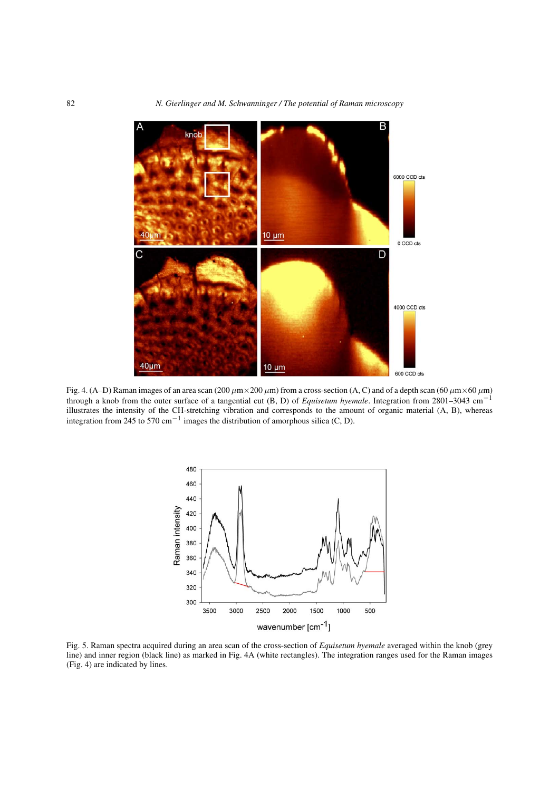

Fig. 4. (A–D) Raman images of an area scan (200  $\mu$ m × 200  $\mu$ m) from a cross-section (A, C) and of a depth scan (60  $\mu$ m × 60  $\mu$ m) through a knob from the outer surface of a tangential cut (B, D) of *Equisetum hyemale*. Integration from 2801–3043 cm−<sup>1</sup> illustrates the intensity of the CH-stretching vibration and corresponds to the amount of organic material (A, B), whereas integration from 245 to 570 cm<sup>-1</sup> images the distribution of amorphous silica (C, D).



Fig. 5. Raman spectra acquired during an area scan of the cross-section of *Equisetum hyemale* averaged within the knob (grey line) and inner region (black line) as marked in Fig. 4A (white rectangles). The integration ranges used for the Raman images (Fig. 4) are indicated by lines.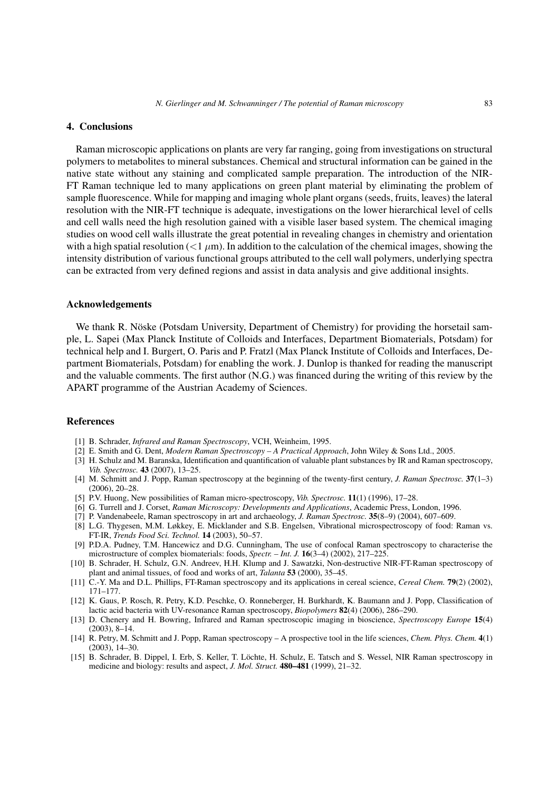#### **4. Conclusions**

Raman microscopic applications on plants are very far ranging, going from investigations on structural polymers to metabolites to mineral substances. Chemical and structural information can be gained in the native state without any staining and complicated sample preparation. The introduction of the NIR-FT Raman technique led to many applications on green plant material by eliminating the problem of sample fluorescence. While for mapping and imaging whole plant organs (seeds, fruits, leaves) the lateral resolution with the NIR-FT technique is adequate, investigations on the lower hierarchical level of cells and cell walls need the high resolution gained with a visible laser based system. The chemical imaging studies on wood cell walls illustrate the great potential in revealing changes in chemistry and orientation with a high spatial resolution ( $\langle 1 \mu m \rangle$ ). In addition to the calculation of the chemical images, showing the intensity distribution of various functional groups attributed to the cell wall polymers, underlying spectra can be extracted from very defined regions and assist in data analysis and give additional insights.

# **Acknowledgements**

We thank R. Nöske (Potsdam University, Department of Chemistry) for providing the horsetail sample, L. Sapei (Max Planck Institute of Colloids and Interfaces, Department Biomaterials, Potsdam) for technical help and I. Burgert, O. Paris and P. Fratzl (Max Planck Institute of Colloids and Interfaces, Department Biomaterials, Potsdam) for enabling the work. J. Dunlop is thanked for reading the manuscript and the valuable comments. The first author (N.G.) was financed during the writing of this review by the APART programme of the Austrian Academy of Sciences.

#### **References**

- [1] B. Schrader, *Infrared and Raman Spectroscopy*, VCH, Weinheim, 1995.
- [2] E. Smith and G. Dent, *Modern Raman Spectroscopy A Practical Approach*, John Wiley & Sons Ltd., 2005.
- [3] H. Schulz and M. Baranska, Identification and quantification of valuable plant substances by IR and Raman spectroscopy, *Vib. Spectrosc.* **43** (2007), 13–25.
- [4] M. Schmitt and J. Popp, Raman spectroscopy at the beginning of the twenty-first century, *J. Raman Spectrosc.* **37**(1–3) (2006), 20–28.
- [5] P.V. Huong, New possibilities of Raman micro-spectroscopy, *Vib. Spectrosc.* **11**(1) (1996), 17–28.
- [6] G. Turrell and J. Corset, *Raman Microscopy: Developments and Applications*, Academic Press, London, 1996.
- [7] P. Vandenabeele, Raman spectroscopy in art and archaeology, *J. Raman Spectrosc.* **35**(8–9) (2004), 607–609.
- [8] L.G. Thygesen, M.M. Løkkey, E. Micklander and S.B. Engelsen, Vibrational microspectroscopy of food: Raman vs. FT-IR, *Trends Food Sci. Technol.* **14** (2003), 50–57.
- [9] P.D.A. Pudney, T.M. Hancewicz and D.G. Cunningham, The use of confocal Raman spectroscopy to characterise the microstructure of complex biomaterials: foods, *Spectr. – Int. J.* **16**(3–4) (2002), 217–225.
- [10] B. Schrader, H. Schulz, G.N. Andreev, H.H. Klump and J. Sawatzki, Non-destructive NIR-FT-Raman spectroscopy of plant and animal tissues, of food and works of art, *Talanta* **53** (2000), 35–45.
- [11] C.-Y. Ma and D.L. Phillips, FT-Raman spectroscopy and its applications in cereal science, *Cereal Chem.* **79**(2) (2002), 171–177.
- [12] K. Gaus, P. Rosch, R. Petry, K.D. Peschke, O. Ronneberger, H. Burkhardt, K. Baumann and J. Popp, Classification of lactic acid bacteria with UV-resonance Raman spectroscopy, *Biopolymers* **82**(4) (2006), 286–290.
- [13] D. Chenery and H. Bowring, Infrared and Raman spectroscopic imaging in bioscience, *Spectroscopy Europe* **15**(4) (2003), 8–14.
- [14] R. Petry, M. Schmitt and J. Popp, Raman spectroscopy A prospective tool in the life sciences, *Chem. Phys. Chem.* **4**(1) (2003), 14–30.
- [15] B. Schrader, B. Dippel, I. Erb, S. Keller, T. Löchte, H. Schulz, E. Tatsch and S. Wessel, NIR Raman spectroscopy in medicine and biology: results and aspect, *J. Mol. Struct.* **480–481** (1999), 21–32.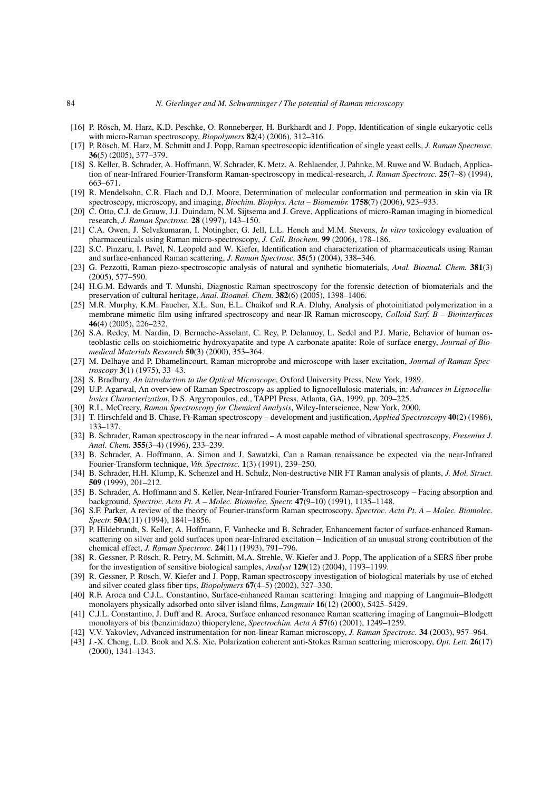- [16] P. Rösch, M. Harz, K.D. Peschke, O. Ronneberger, H. Burkhardt and J. Popp, Identification of single eukaryotic cells with micro-Raman spectroscopy, *Biopolymers* **82**(4) (2006), 312–316.
- [17] P. Rösch, M. Harz, M. Schmitt and J. Popp, Raman spectroscopic identification of single yeast cells, *J. Raman Spectrosc.* **36**(5) (2005), 377–379.
- [18] S. Keller, B. Schrader, A. Hoffmann, W. Schrader, K. Metz, A. Rehlaender, J. Pahnke, M. Ruwe and W. Budach, Application of near-Infrared Fourier-Transform Raman-spectroscopy in medical-research, *J. Raman Spectrosc.* **25**(7–8) (1994), 663–671.
- [19] R. Mendelsohn, C.R. Flach and D.J. Moore, Determination of molecular conformation and permeation in skin via IR spectroscopy, microscopy, and imaging, *Biochim. Biophys. Acta – Biomembr.* **1758**(7) (2006), 923–933.
- [20] C. Otto, C.J. de Grauw, J.J. Duindam, N.M. Sijtsema and J. Greve, Applications of micro-Raman imaging in biomedical research, *J. Raman Spectrosc.* **28** (1997), 143–150.
- [21] C.A. Owen, J. Selvakumaran, I. Notingher, G. Jell, L.L. Hench and M.M. Stevens, *In vitro* toxicology evaluation of pharmaceuticals using Raman micro-spectroscopy, *J. Cell. Biochem.* **99** (2006), 178–186.
- [22] S.C. Pinzaru, I. Pavel, N. Leopold and W. Kiefer, Identification and characterization of pharmaceuticals using Raman and surface-enhanced Raman scattering, *J. Raman Spectrosc.* **35**(5) (2004), 338–346.
- [23] G. Pezzotti, Raman piezo-spectroscopic analysis of natural and synthetic biomaterials, *Anal. Bioanal. Chem.* **381**(3) (2005), 577–590.
- [24] H.G.M. Edwards and T. Munshi, Diagnostic Raman spectroscopy for the forensic detection of biomaterials and the preservation of cultural heritage, *Anal. Bioanal. Chem.* **382**(6) (2005), 1398–1406.
- [25] M.R. Murphy, K.M. Faucher, X.L. Sun, E.L. Chaikof and R.A. Dluhy, Analysis of photoinitiated polymerization in a membrane mimetic film using infrared spectroscopy and near-IR Raman microscopy, *Colloid Surf. B – Biointerfaces* **46**(4) (2005), 226–232.
- [26] S.A. Redey, M. Nardin, D. Bernache-Assolant, C. Rey, P. Delannoy, L. Sedel and P.J. Marie, Behavior of human osteoblastic cells on stoichiometric hydroxyapatite and type A carbonate apatite: Role of surface energy, *Journal of Biomedical Materials Research* **50**(3) (2000), 353–364.
- [27] M. Delhaye and P. Dhamelincourt, Raman microprobe and microscope with laser excitation, *Journal of Raman Spectroscopy* **3**(1) (1975), 33–43.
- [28] S. Bradbury, *An introduction to the Optical Microscope*, Oxford University Press, New York, 1989.
- [29] U.P. Agarwal, An overview of Raman Spectroscopy as applied to lignocellulosic materials, in: *Advances in Lignocellulosics Characterization*, D.S. Argyropoulos, ed., TAPPI Press, Atlanta, GA, 1999, pp. 209–225.
- [30] R.L. McCreery, *Raman Spectroscopy for Chemical Analysis*, Wiley-Interscience, New York, 2000.
- [31] T. Hirschfeld and B. Chase, Ft-Raman spectroscopy development and justification, *Applied Spectroscopy* **40**(2) (1986), 133–137.
- [32] B. Schrader, Raman spectroscopy in the near infrared A most capable method of vibrational spectroscopy, *Fresenius J. Anal. Chem.* **355**(3–4) (1996), 233–239.
- [33] B. Schrader, A. Hoffmann, A. Simon and J. Sawatzki, Can a Raman renaissance be expected via the near-Infrared Fourier-Transform technique, *Vib. Spectrosc.* **1**(3) (1991), 239–250.
- [34] B. Schrader, H.H. Klump, K. Schenzel and H. Schulz, Non-destructive NIR FT Raman analysis of plants, *J. Mol. Struct.* **509** (1999), 201–212.
- [35] B. Schrader, A. Hoffmann and S. Keller, Near-Infrared Fourier-Transform Raman-spectroscopy Facing absorption and background, *Spectroc. Acta Pt. A – Molec. Biomolec. Spectr.* **47**(9–10) (1991), 1135–1148.
- [36] S.F. Parker, A review of the theory of Fourier-transform Raman spectroscopy, *Spectroc. Acta Pt. A Molec. Biomolec. Spectr.* **50A**(11) (1994), 1841–1856.
- [37] P. Hildebrandt, S. Keller, A. Hoffmann, F. Vanhecke and B. Schrader, Enhancement factor of surface-enhanced Ramanscattering on silver and gold surfaces upon near-Infrared excitation – Indication of an unusual strong contribution of the chemical effect, *J. Raman Spectrosc.* **24**(11) (1993), 791–796.
- [38] R. Gessner, P. Rösch, R. Petry, M. Schmitt, M.A. Strehle, W. Kiefer and J. Popp, The application of a SERS fiber probe for the investigation of sensitive biological samples, *Analyst* **129**(12) (2004), 1193–1199.
- [39] R. Gessner, P. Rösch, W. Kiefer and J. Popp, Raman spectroscopy investigation of biological materials by use of etched and silver coated glass fiber tips, *Biopolymers* **67**(4–5) (2002), 327–330.
- [40] R.F. Aroca and C.J.L. Constantino, Surface-enhanced Raman scattering: Imaging and mapping of Langmuir–Blodgett monolayers physically adsorbed onto silver island films, *Langmuir* **16**(12) (2000), 5425–5429.
- [41] C.J.L. Constantino, J. Duff and R. Aroca, Surface enhanced resonance Raman scattering imaging of Langmuir–Blodgett monolayers of bis (benzimidazo) thioperylene, *Spectrochim. Acta A* **57**(6) (2001), 1249–1259.
- [42] V.V. Yakovlev, Advanced instrumentation for non-linear Raman microscopy, *J. Raman Spectrosc.* **34** (2003), 957–964.
- [43] J.-X. Cheng, L.D. Book and X.S. Xie, Polarization coherent anti-Stokes Raman scattering microscopy, *Opt. Lett.* **26**(17) (2000), 1341–1343.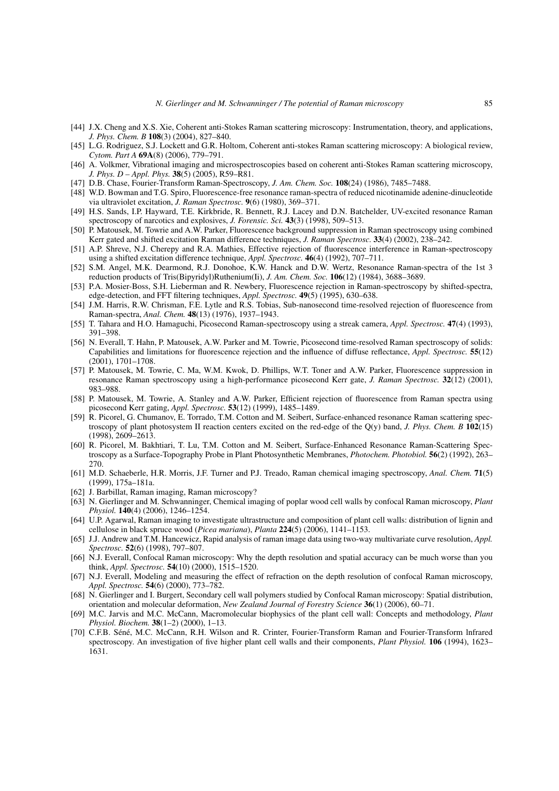- [44] J.X. Cheng and X.S. Xie, Coherent anti-Stokes Raman scattering microscopy: Instrumentation, theory, and applications, *J. Phys. Chem. B* **108**(3) (2004), 827–840.
- [45] L.G. Rodriguez, S.J. Lockett and G.R. Holtom, Coherent anti-stokes Raman scattering microscopy: A biological review, *Cytom. Part A* **69A**(8) (2006), 779–791.
- [46] A. Volkmer, Vibrational imaging and microspectroscopies based on coherent anti-Stokes Raman scattering microscopy, *J. Phys. D – Appl. Phys.* **38**(5) (2005), R59–R81.
- [47] D.B. Chase, Fourier-Transform Raman-Spectroscopy, *J. Am. Chem. Soc.* **108**(24) (1986), 7485–7488.
- [48] W.D. Bowman and T.G. Spiro, Fluorescence-free resonance raman-spectra of reduced nicotinamide adenine-dinucleotide via ultraviolet excitation, *J. Raman Spectrosc.* **9**(6) (1980), 369–371.
- [49] H.S. Sands, I.P. Hayward, T.E. Kirkbride, R. Bennett, R.J. Lacey and D.N. Batchelder, UV-excited resonance Raman spectroscopy of narcotics and explosives, *J. Forensic. Sci.* **43**(3) (1998), 509–513.
- [50] P. Matousek, M. Towrie and A.W. Parker, Fluorescence background suppression in Raman spectroscopy using combined Kerr gated and shifted excitation Raman difference techniques, *J. Raman Spectrosc.* **33**(4) (2002), 238–242.
- [51] A.P. Shreve, N.J. Cherepy and R.A. Mathies, Effective rejection of fluorescence interference in Raman-spectroscopy using a shifted excitation difference technique, *Appl. Spectrosc.* **46**(4) (1992), 707–711.
- [52] S.M. Angel, M.K. Dearmond, R.J. Donohoe, K.W. Hanck and D.W. Wertz, Resonance Raman-spectra of the 1st 3 reduction products of Tris(Bipyridyl)Ruthenium(Ii), *J. Am. Chem. Soc.* **106**(12) (1984), 3688–3689.
- [53] P.A. Mosier-Boss, S.H. Lieberman and R. Newbery, Fluorescence rejection in Raman-spectroscopy by shifted-spectra, edge-detection, and FFT filtering techniques, *Appl. Spectrosc.* **49**(5) (1995), 630–638.
- [54] J.M. Harris, R.W. Chrisman, F.E. Lytle and R.S. Tobias, Sub-nanosecond time-resolved rejection of fluorescence from Raman-spectra, *Anal. Chem.* **48**(13) (1976), 1937–1943.
- [55] T. Tahara and H.O. Hamaguchi, Picosecond Raman-spectroscopy using a streak camera, *Appl. Spectrosc.* **47**(4) (1993), 391–398.
- [56] N. Everall, T. Hahn, P. Matousek, A.W. Parker and M. Towrie, Picosecond time-resolved Raman spectroscopy of solids: Capabilities and limitations for fluorescence rejection and the influence of diffuse reflectance, *Appl. Spectrosc.* **55**(12) (2001), 1701–1708.
- [57] P. Matousek, M. Towrie, C. Ma, W.M. Kwok, D. Phillips, W.T. Toner and A.W. Parker, Fluorescence suppression in resonance Raman spectroscopy using a high-performance picosecond Kerr gate, *J. Raman Spectrosc.* **32**(12) (2001), 983–988.
- [58] P. Matousek, M. Towrie, A. Stanley and A.W. Parker, Efficient rejection of fluorescence from Raman spectra using picosecond Kerr gating, *Appl. Spectrosc.* **53**(12) (1999), 1485–1489.
- [59] R. Picorel, G. Chumanov, E. Torrado, T.M. Cotton and M. Seibert, Surface-enhanced resonance Raman scattering spectroscopy of plant photosystem II reaction centers excited on the red-edge of the Q(y) band, *J. Phys. Chem. B* **102**(15) (1998), 2609–2613.
- [60] R. Picorel, M. Bakhtiari, T. Lu, T.M. Cotton and M. Seibert, Surface-Enhanced Resonance Raman-Scattering Spectroscopy as a Surface-Topography Probe in Plant Photosynthetic Membranes, *Photochem. Photobiol.* **56**(2) (1992), 263– 270.
- [61] M.D. Schaeberle, H.R. Morris, J.F. Turner and P.J. Treado, Raman chemical imaging spectroscopy, *Anal. Chem.* **71**(5) (1999), 175a–181a.
- [62] J. Barbillat, Raman imaging, Raman microscopy?
- [63] N. Gierlinger and M. Schwanninger, Chemical imaging of poplar wood cell walls by confocal Raman microscopy, *Plant Physiol.* **140**(4) (2006), 1246–1254.
- [64] U.P. Agarwal, Raman imaging to investigate ultrastructure and composition of plant cell walls: distribution of lignin and cellulose in black spruce wood (*Picea mariana*), *Planta* **224**(5) (2006), 1141–1153.
- [65] J.J. Andrew and T.M. Hancewicz, Rapid analysis of raman image data using two-way multivariate curve resolution, *Appl. Spectrosc.* **52**(6) (1998), 797–807.
- [66] N.J. Everall, Confocal Raman microscopy: Why the depth resolution and spatial accuracy can be much worse than you think, *Appl. Spectrosc.* **54**(10) (2000), 1515–1520.
- [67] N.J. Everall, Modeling and measuring the effect of refraction on the depth resolution of confocal Raman microscopy, *Appl. Spectrosc.* **54**(6) (2000), 773–782.
- [68] N. Gierlinger and I. Burgert, Secondary cell wall polymers studied by Confocal Raman microscopy: Spatial distribution, orientation and molecular deformation, *New Zealand Journal of Forestry Science* **36**(1) (2006), 60–71.
- [69] M.C. Jarvis and M.C. McCann, Macromolecular biophysics of the plant cell wall: Concepts and methodology, *Plant Physiol. Biochem.* **38**(1–2) (2000), 1–13.
- [70] C.F.B. Séné, M.C. McCann, R.H. Wilson and R. Crinter, Fourier-Transform Raman and Fourier-Transform lnfrared spectroscopy. An investigation of five higher plant cell walls and their components, *Plant Physiol.* **106** (1994), 1623– 1631.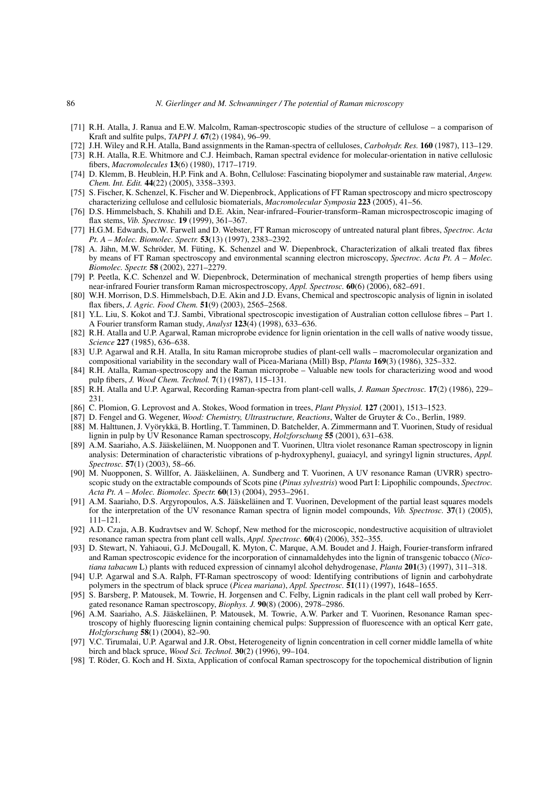- [71] R.H. Atalla, J. Ranua and E.W. Malcolm, Raman-spectroscopic studies of the structure of cellulose a comparison of Kraft and sulfite pulps, *TAPPI J.* **67**(2) (1984), 96–99.
- [72] J.H. Wiley and R.H. Atalla, Band assignments in the Raman-spectra of celluloses, *Carbohydr. Res.* **160** (1987), 113–129. [73] R.H. Atalla, R.E. Whitmore and C.J. Heimbach, Raman spectral evidence for molecular-orientation in native cellulosic
- fibers, *Macromolecules* **13**(6) (1980), 1717–1719.
- [74] D. Klemm, B. Heublein, H.P. Fink and A. Bohn, Cellulose: Fascinating biopolymer and sustainable raw material, *Angew. Chem. Int. Edit.* **44**(22) (2005), 3358–3393.
- [75] S. Fischer, K. Schenzel, K. Fischer and W. Diepenbrock, Applications of FT Raman spectroscopy and micro spectroscopy characterizing cellulose and cellulosic biomaterials, *Macromolecular Symposia* **223** (2005), 41–56.
- [76] D.S. Himmelsbach, S. Khahili and D.E. Akin, Near-infrared–Fourier-transform–Raman microspectroscopic imaging of flax stems, *Vib. Spectrosc.* **19** (1999), 361–367.
- [77] H.G.M. Edwards, D.W. Farwell and D. Webster, FT Raman microscopy of untreated natural plant fibres, *Spectroc. Acta Pt. A – Molec. Biomolec. Spectr.* **53**(13) (1997), 2383–2392.
- [78] A. Jähn, M.W. Schröder, M. Füting, K. Schenzel and W. Diepenbrock, Characterization of alkali treated flax fibres by means of FT Raman spectroscopy and environmental scanning electron microscopy, *Spectroc. Acta Pt. A – Molec. Biomolec. Spectr.* **58** (2002), 2271–2279.
- [79] P. Peetla, K.C. Schenzel and W. Diepenbrock, Determination of mechanical strength properties of hemp fibers using near-infrared Fourier transform Raman microspectroscopy, *Appl. Spectrosc.* **60**(6) (2006), 682–691.
- [80] W.H. Morrison, D.S. Himmelsbach, D.E. Akin and J.D. Evans, Chemical and spectroscopic analysis of lignin in isolated flax fibers, *J. Agric. Food Chem.* **51**(9) (2003), 2565–2568.
- [81] Y.L. Liu, S. Kokot and T.J. Sambi, Vibrational spectroscopic investigation of Australian cotton cellulose fibres Part 1. A Fourier transform Raman study, *Analyst* **123**(4) (1998), 633–636.
- [82] R.H. Atalla and U.P. Agarwal, Raman microprobe evidence for lignin orientation in the cell walls of native woody tissue, *Science* **227** (1985), 636–638.
- [83] U.P. Agarwal and R.H. Atalla, In situ Raman microprobe studies of plant-cell walls macromolecular organization and compositional variability in the secondary wall of Picea-Mariana (Mill) Bsp, *Planta* **169**(3) (1986), 325–332.
- [84] R.H. Atalla, Raman-spectroscopy and the Raman microprobe Valuable new tools for characterizing wood and wood pulp fibers, *J. Wood Chem. Technol.* **7**(1) (1987), 115–131.
- [85] R.H. Atalla and U.P. Agarwal, Recording Raman-spectra from plant-cell walls, *J. Raman Spectrosc.* **17**(2) (1986), 229– 231.
- [86] C. Plomion, G. Leprovost and A. Stokes, Wood formation in trees, *Plant Physiol.* **127** (2001), 1513–1523.
- [87] D. Fengel and G. Wegener, *Wood: Chemistry, Ultrastructure, Reactions*, Walter de Gruyter & Co., Berlin, 1989.
- [88] M. Halttunen, J. Vyörykkä, B. Hortling, T. Tamminen, D. Batchelder, A. Zimmermann and T. Vuorinen, Study of residual lignin in pulp by UV Resonance Raman spectroscopy, *Holzforschung* **55** (2001), 631–638.
- [89] A.M. Saariaho, A.S. Jääskeläinen, M. Nuopponen and T. Vuorinen, Ultra violet resonance Raman spectroscopy in lignin analysis: Determination of characteristic vibrations of p-hydroxyphenyl, guaiacyl, and syringyl lignin structures, *Appl. Spectrosc.* **57**(1) (2003), 58–66.
- [90] M. Nuopponen, S. Willfor, A. Jääskeläinen, A. Sundberg and T. Vuorinen, A UV resonance Raman (UVRR) spectroscopic study on the extractable compounds of Scots pine (*Pinus sylvestris*) wood Part I: Lipophilic compounds, *Spectroc. Acta Pt. A – Molec. Biomolec. Spectr.* **60**(13) (2004), 2953–2961.
- [91] A.M. Saariaho, D.S. Argyropoulos, A.S. Jääskeläinen and T. Vuorinen, Development of the partial least squares models for the interpretation of the UV resonance Raman spectra of lignin model compounds, *Vib. Spectrosc.* **37**(1) (2005), 111–121.
- [92] A.D. Czaja, A.B. Kudravtsev and W. Schopf, New method for the microscopic, nondestructive acquisition of ultraviolet resonance raman spectra from plant cell walls, *Appl. Spectrosc.* **60**(4) (2006), 352–355.
- [93] D. Stewart, N. Yahiaoui, G.J. McDougall, K. Myton, C. Marque, A.M. Boudet and J. Haigh, Fourier-transform infrared and Raman spectroscopic evidence for the incorporation of cinnamaldehydes into the lignin of transgenic tobacco (*Nicotiana tabacum* L) plants with reduced expression of cinnamyl alcohol dehydrogenase, *Planta* **201**(3) (1997), 311–318.
- [94] U.P. Agarwal and S.A. Ralph, FT-Raman spectroscopy of wood: Identifying contributions of lignin and carbohydrate polymers in the spectrum of black spruce (*Picea mariana*), *Appl. Spectrosc.* **51**(11) (1997), 1648–1655.
- [95] S. Barsberg, P. Matousek, M. Towrie, H. Jorgensen and C. Felby, Lignin radicals in the plant cell wall probed by Kerrgated resonance Raman spectroscopy, *Biophys. J.* **90**(8) (2006), 2978–2986.
- [96] A.M. Saariaho, A.S. Jääskeläinen, P. Matousek, M. Towrie, A.W. Parker and T. Vuorinen, Resonance Raman spectroscopy of highly fluorescing lignin containing chemical pulps: Suppression of fluorescence with an optical Kerr gate, *Holzforschung* **58**(1) (2004), 82–90.
- [97] V.C. Tirumalai, U.P. Agarwal and J.R. Obst, Heterogeneity of lignin concentration in cell corner middle lamella of white birch and black spruce, *Wood Sci. Technol.* **30**(2) (1996), 99–104.
- [98] T. Röder, G. Koch and H. Sixta, Application of confocal Raman spectroscopy for the topochemical distribution of lignin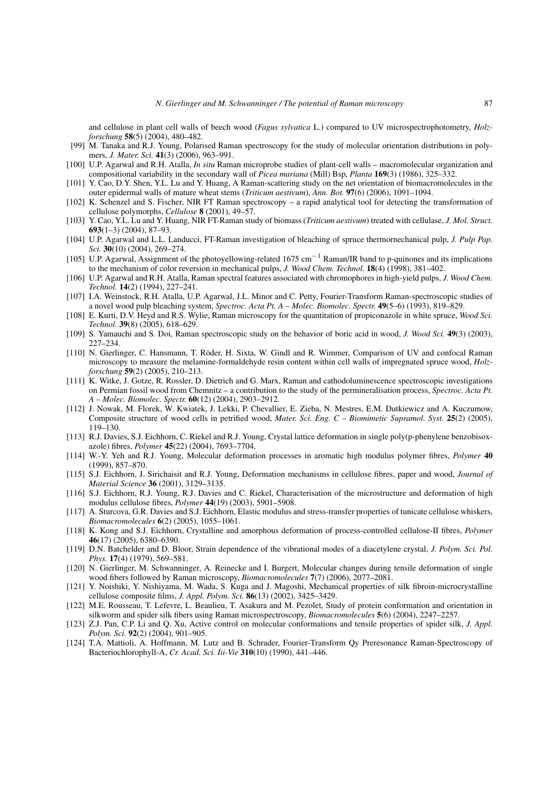and cellulose in plant cell walls of beech wood (*Fagus sylvatica* L.) compared to UV microspectrophotometry, *Holzforschung* **58**(5) (2004), 480–482.

- [99] M. Tanaka and R.J. Young, Polarised Raman spectroscopy for the study of molecular orientation distributions in polymers, *J. Mater. Sci.* **41**(3) (2006), 963–991.
- [100] U.P. Agarwal and R.H. Atalla, *In situ* Raman microprobe studies of plant-cell walls macromolecular organization and compositional variability in the secondary wall of *Picea mariana* (Mill) Bsp, *Planta* **169**(3) (1986), 325–332.
- [101] Y. Cao, D.Y. Shen, Y.L. Lu and Y. Huang, A Raman-scattering study on the net orientation of biomacromolecules in the outer epidermal walls of mature wheat stems (*Triticum aestivum*), *Ann. Bot.* **97**(6) (2006), 1091–1094.
- [102] K. Schenzel and S. Fischer, NIR FT Raman spectroscopy a rapid analytical tool for detecting the transformation of cellulose polymorphs, *Cellulose* **8** (2001), 49–57.
- [103] Y. Cao, Y.L. Lu and Y. Huang, NIR FT-Raman study of biomass (*Triticum aestivum*) treated with cellulase, *J. Mol. Struct.* **693**(1–3) (2004), 87–93.
- [104] U.P. Agarwal and L.L. Landucci, FT-Raman investigation of bleaching of spruce thermornechanical pulp, *J. Pulp Pap. Sci.* **30**(10) (2004), 269–274.
- [105] U.P. Agarwal, Assignment of the photoyellowing-related 1675 cm<sup>-1</sup> Raman/IR band to p-quinones and its implications to the mechanism of color reversion in mechanical pulps, *J. Wood Chem. Technol.* **18**(4) (1998), 381–402.
- [106] U.P. Agarwal and R.H. Atalla, Raman spectral features associated with chromophores in high-yield pulps, *J. Wood Chem. Technol.* **14**(2) (1994), 227–241.
- [107] I.A. Weinstock, R.H. Atalla, U.P. Agarwal, J.L. Minor and C. Petty, Fourier-Transform Raman-spectroscopic studies of a novel wood pulp bleaching system, *Spectroc. Acta Pt. A – Molec. Biomolec. Spectr.* **49**(5–6) (1993), 819–829.
- [108] E. Kurti, D.V. Heyd and R.S. Wylie, Raman microscopy for the quantitation of propiconazole in white spruce, *Wood Sci. Technol.* **39**(8) (2005), 618–629.
- [109] S. Yamauchi and S. Doi, Raman spectroscopic study on the behavior of boric acid in wood, *J. Wood Sci.* **49**(3) (2003), 227–234.
- [110] N. Gierlinger, C. Hansmann, T. Röder, H. Sixta, W. Gindl and R. Wimmer, Comparison of UV and confocal Raman microscopy to measure the melamine-formaldehyde resin content within cell walls of impregnated spruce wood, *Holzforschung* **59**(2) (2005), 210–213.
- [111] K. Witke, J. Gotze, R. Rossler, D. Dietrich and G. Marx, Raman and cathodoluminescence spectroscopic investigations on Permian fossil wood from Chemnitz – a contribution to the study of the permineralisation process, *Spectroc. Acta Pt. A – Molec. Biomolec. Spectr.* **60**(12) (2004), 2903–2912.
- [112] J. Nowak, M. Florek, W. Kwiatek, J. Lekki, P. Chevallier, E. Zieba, N. Mestres, E.M. Dutkiewicz and A. Kuczumow, Composite structure of wood cells in petrified wood, *Mater. Sci. Eng. C – Biomimetic Supramol. Syst.* **25**(2) (2005), 119–130.
- [113] R.J. Davies, S.J. Eichhorn, C. Riekel and R.J. Young, Crystal lattice deformation in single poly(p-phenylene benzobisoxazole) fibres, *Polymer* **45**(22) (2004), 7693–7704.
- [114] W.-Y. Yeh and R.J. Young, Molecular deformation processes in aromatic high modulus polymer fibres, *Polymer* **40** (1999), 857–870.
- [115] S.J. Eichhorn, J. Sirichaisit and R.J. Young, Deformation mechanisms in cellulose fibres, paper and wood, *Journal of Material Science* **36** (2001), 3129–3135.
- [116] S.J. Eichhorn, R.J. Young, R.J. Davies and C. Riekel, Characterisation of the microstructure and deformation of high modulus cellulose fibres, *Polymer* **44**(19) (2003), 5901–5908.
- [117] A. Sturcova, G.R. Davies and S.J. Eichhorn, Elastic modulus and stress-transfer properties of tunicate cellulose whiskers, *Biomacromolecules* **6**(2) (2005), 1055–1061.
- [118] K. Kong and S.J. Eichhorn, Crystalline and amorphous deformation of process-controlled cellulose-II fibres, *Polymer* **46**(17) (2005), 6380–6390.
- [119] D.N. Batchelder and D. Bloor, Strain dependence of the vibrational modes of a diacetylene crystal, *J. Polym. Sci. Pol. Phys.* **17**(4) (1979), 569–581.
- [120] N. Gierlinger, M. Schwanninger, A. Reinecke and I. Burgert, Molecular changes during tensile deformation of single wood fibers followed by Raman microscopy, *Biomacromolecules* **7**(7) (2006), 2077–2081.
- [121] Y. Noishiki, Y. Nishiyama, M. Wada, S. Kuga and J. Magoshi, Mechanical properties of silk fibroin-microcrystalline cellulose composite films, *J. Appl. Polym. Sci.* **86**(13) (2002), 3425–3429.
- [122] M.E. Rousseau, T. Lefevre, L. Beaulieu, T. Asakura and M. Pezolet, Study of protein conformation and orientation in silkworm and spider silk fibers using Raman microspectroscopy, *Biomacromolecules* **5**(6) (2004), 2247–2257.
- [123] Z.J. Pan, C.P. Li and Q. Xu, Active control on molecular conformations and tensile properties of spider silk, *J. Appl. Polym. Sci.* **92**(2) (2004), 901–905.
- [124] T.A. Mattioli, A. Hoffmann, M. Lutz and B. Schrader, Fourier-Transform Qy Preresonance Raman-Spectroscopy of Bacteriochlorophyll-A, *Cr. Acad. Sci. Iii-Vie* **310**(10) (1990), 441–446.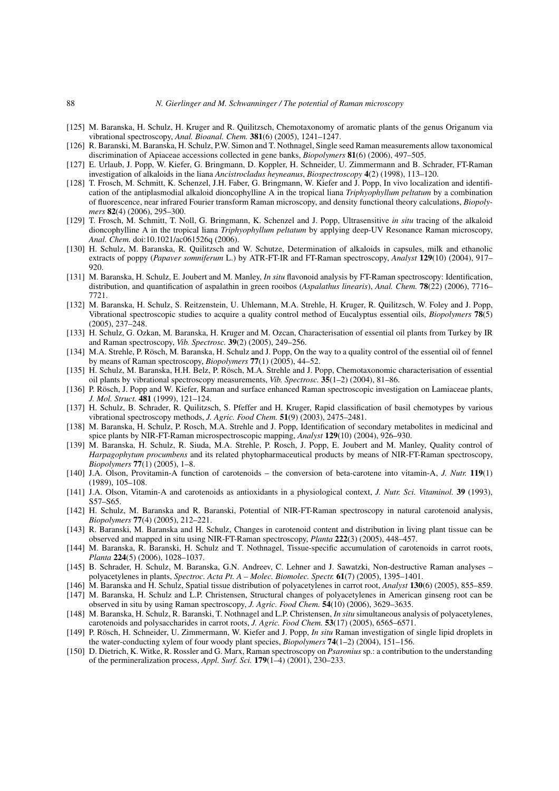- [125] M. Baranska, H. Schulz, H. Kruger and R. Quilitzsch, Chemotaxonomy of aromatic plants of the genus Origanum via vibrational spectroscopy, *Anal. Bioanal. Chem.* **381**(6) (2005), 1241–1247.
- [126] R. Baranski, M. Baranska, H. Schulz, P.W. Simon and T. Nothnagel, Single seed Raman measurements allow taxonomical discrimination of Apiaceae accessions collected in gene banks, *Biopolymers* **81**(6) (2006), 497–505.
- [127] E. Urlaub, J. Popp, W. Kiefer, G. Bringmann, D. Koppler, H. Schneider, U. Zimmermann and B. Schrader, FT-Raman investigation of alkaloids in the liana *Ancistrocladus heyneanus*, *Biospectroscopy* **4**(2) (1998), 113–120.
- [128] T. Frosch, M. Schmitt, K. Schenzel, J.H. Faber, G. Bringmann, W. Kiefer and J. Popp, In vivo localization and identification of the antiplasmodial alkaloid dioncophylline A in the tropical liana *Triphyophyllum peltatum* by a combination of fluorescence, near infrared Fourier transform Raman microscopy, and density functional theory calculations, *Biopolymers* **82**(4) (2006), 295–300.
- [129] T. Frosch, M. Schmitt, T. Noll, G. Bringmann, K. Schenzel and J. Popp, Ultrasensitive *in situ* tracing of the alkaloid dioncophylline A in the tropical liana *Triphyophyllum peltatum* by applying deep-UV Resonance Raman microscopy, *Anal. Chem.* doi:10.1021/ac061526q (2006).
- [130] H. Schulz, M. Baranska, R. Quilitzsch and W. Schutze, Determination of alkaloids in capsules, milk and ethanolic extracts of poppy (*Papaver somniferum* L.) by ATR-FT-IR and FT-Raman spectroscopy, *Analyst* **129**(10) (2004), 917– 920.
- [131] M. Baranska, H. Schulz, E. Joubert and M. Manley, *In situ* flavonoid analysis by FT-Raman spectroscopy: Identification, distribution, and quantification of aspalathin in green rooibos (*Aspalathus linearis*), *Anal. Chem.* **78**(22) (2006), 7716– 7721.
- [132] M. Baranska, H. Schulz, S. Reitzenstein, U. Uhlemann, M.A. Strehle, H. Kruger, R. Quilitzsch, W. Foley and J. Popp, Vibrational spectroscopic studies to acquire a quality control method of Eucalyptus essential oils, *Biopolymers* **78**(5) (2005), 237–248.
- [133] H. Schulz, G. Ozkan, M. Baranska, H. Kruger and M. Ozcan, Characterisation of essential oil plants from Turkey by IR and Raman spectroscopy, *Vib. Spectrosc.* **39**(2) (2005), 249–256.
- [134] M.A. Strehle, P. Rösch, M. Baranska, H. Schulz and J. Popp, On the way to a quality control of the essential oil of fennel by means of Raman spectroscopy, *Biopolymers* **77**(1) (2005), 44–52.
- [135] H. Schulz, M. Baranska, H.H. Belz, P. Rösch, M.A. Strehle and J. Popp, Chemotaxonomic characterisation of essential oil plants by vibrational spectroscopy measurements, *Vib. Spectrosc.* **35**(1–2) (2004), 81–86.
- [136] P. Rösch, J. Popp and W. Kiefer, Raman and surface enhanced Raman spectroscopic investigation on Lamiaceae plants, *J. Mol. Struct.* **481** (1999), 121–124.
- [137] H. Schulz, B. Schrader, R. Quilitzsch, S. Pfeffer and H. Kruger, Rapid classification of basil chemotypes by various vibrational spectroscopy methods, *J. Agric. Food Chem.* **51**(9) (2003), 2475–2481.
- [138] M. Baranska, H. Schulz, P. Rosch, M.A. Strehle and J. Popp, Identification of secondary metabolites in medicinal and spice plants by NIR-FT-Raman microspectroscopic mapping, *Analyst* **129**(10) (2004), 926–930.
- [139] M. Baranska, H. Schulz, R. Siuda, M.A. Strehle, P. Rosch, J. Popp, E. Joubert and M. Manley, Quality control of *Harpagophytum procumbens* and its related phytopharmaceutical products by means of NIR-FT-Raman spectroscopy, *Biopolymers* **77**(1) (2005), 1–8.
- [140] J.A. Olson, Provitamin-A function of carotenoids the conversion of beta-carotene into vitamin-A, *J. Nutr.* **119**(1) (1989), 105–108.
- [141] J.A. Olson, Vitamin-A and carotenoids as antioxidants in a physiological context, *J. Nutr. Sci. Vitaminol.* **39** (1993), S57–S65.
- [142] H. Schulz, M. Baranska and R. Baranski, Potential of NIR-FT-Raman spectroscopy in natural carotenoid analysis, *Biopolymers* **77**(4) (2005), 212–221.
- [143] R. Baranski, M. Baranska and H. Schulz, Changes in carotenoid content and distribution in living plant tissue can be observed and mapped in situ using NIR-FT-Raman spectroscopy, *Planta* **222**(3) (2005), 448–457.
- [144] M. Baranska, R. Baranski, H. Schulz and T. Nothnagel, Tissue-specific accumulation of carotenoids in carrot roots, *Planta* **224**(5) (2006), 1028–1037.
- [145] B. Schrader, H. Schulz, M. Baranska, G.N. Andreev, C. Lehner and J. Sawatzki, Non-destructive Raman analyses polyacetylenes in plants, *Spectroc. Acta Pt. A – Molec. Biomolec. Spectr.* **61**(7) (2005), 1395–1401.
- [146] M. Baranska and H. Schulz, Spatial tissue distribution of polyacetylenes in carrot root, *Analyst* **130**(6) (2005), 855–859. [147] M. Baranska, H. Schulz and L.P. Christensen, Structural changes of polyacetylenes in American ginseng root can be
- observed in situ by using Raman spectroscopy, *J. Agric. Food Chem.* **54**(10) (2006), 3629–3635. [148] M. Baranska, H. Schulz, R. Baranski, T. Nothnagel and L.P. Christensen, *In situ* simultaneous analysis of polyacetylenes, carotenoids and polysaccharides in carrot roots, *J. Agric. Food Chem.* **53**(17) (2005), 6565–6571.
- [149] P. Rösch, H. Schneider, U. Zimmermann, W. Kiefer and J. Popp, *In situ* Raman investigation of single lipid droplets in the water-conducting xylem of four woody plant species, *Biopolymers* **74**(1–2) (2004), 151–156.
- [150] D. Dietrich, K. Witke, R. Rossler and G. Marx, Raman spectroscopy on *Psaronius* sp.: a contribution to the understanding of the permineralization process, *Appl. Surf. Sci.* **179**(1–4) (2001), 230–233.